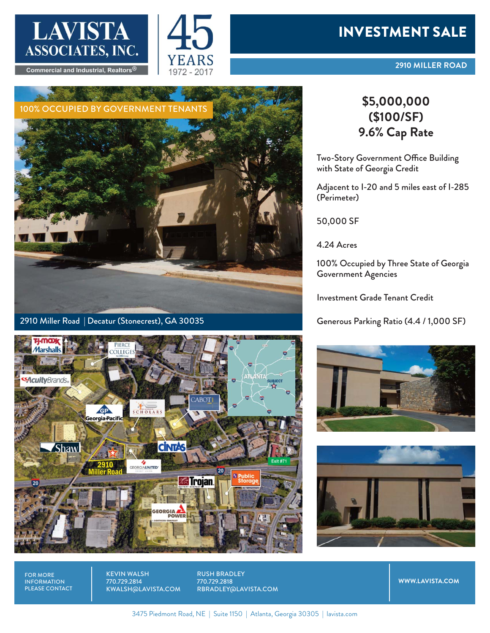



## INVESTMENT SALE



2910 Miller Road | Decatur (Stonecrest), GA 30035



## **(\$100/SF) 9.6% Cap Rate**

Two-Story Government Office Building with State of Georgia Credit

Adjacent to I-20 and 5 miles east of I-285 (Perimeter)

50,000 SF

4.24 Acres

100% Occupied by Three State of Georgia Government Agencies

Investment Grade Tenant Credit

Generous Parking Ratio (4.4 / 1,000 SF)





FOR MORE INFORMATION PLEASE CONTACT KEVIN WALSH 770.729.2814 KWALSH@LAVISTA.COM RUSH BRADLEY 770.729.2818 RBRADLEY@LAVISTA.COM

**WWW.LAVISTA.COM**